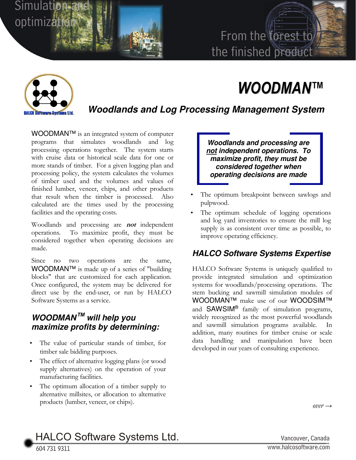## From the forest to the finished product

# *WOODMAN™*



Simulation:

Simulation and<br>optimization

### **Woodlands and Log Processing Management System**

WOODMAN™ is an integrated system of computer programs that simulates woodlands and log processing operations together. The system starts with cruise data or historical scale data for one or more stands of timber. For a given logging plan and processing policy, the system calculates the volumes of timber used and the volumes and values of finished lumber, veneer, chips, and other products that result when the timber is processed. Also calculated are the times used by the processing facilities and the operating costs.

Woodlands and processing are **not** independent operations. To maximize profit, they must be considered together when operating decisions are made.

Since no two operations are the same, WOODMAN™ is made up of a series of "building blocks" that are customized for each application. Once configured, the system may be delivered for direct use by the end-user, or run by HALCO Software Systems as a service.

#### **WOODMAN™ will help you maximize profits by determining:**

- The value of particular stands of timber, for timber sale bidding purposes.
- The effect of alternative logging plans (or wood supply alternatives) on the operation of your manufacturing facilities.
- The optimum allocation of a timber supply to alternative millsites, or allocation to alternative products (lumber, veneer, or chips).

**Woodlands and processing are not independent operations. To maximize profit, they must be considered together when operating decisions are made** 

- The optimum breakpoint between sawlogs and pulpwood.
- The optimum schedule of logging operations and log yard inventories to ensure the mill log supply is as consistent over time as possible, to improve operating efficiency.

#### **HALCO Software Systems Expertise**

HALCO Software Systems is uniquely qualified to provide integrated simulation and optimization systems for woodlands/processing operations. The stem bucking and sawmill simulation modules of WOODMAN™ make use of our WOODSIM™ and SAWSIM® family of simulation programs, widely recognized as the most powerful woodlands and sawmill simulation programs available. addition, many routines for timber cruise or scale data handling and manipulation have been developed in our years of consulting experience.

 $over \rightarrow$ 

HALCO Software Systems Ltd. Vancouver, Canada

604 731 9311 <sup>W</sup>ww.halcosoftware.com